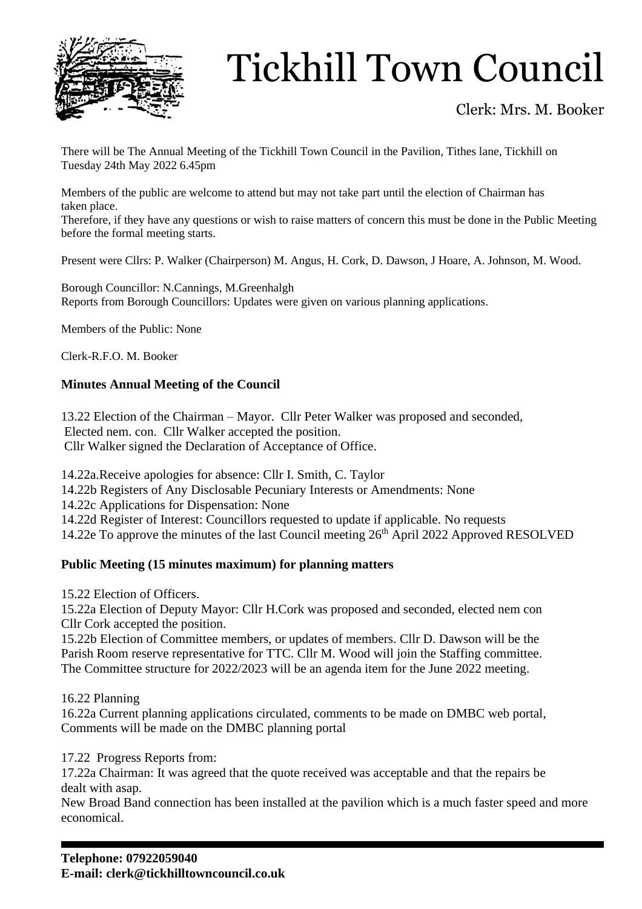

# Tickhill Town Council

### Clerk: Mrs. M. Booker

There will be The Annual Meeting of the Tickhill Town Council in the Pavilion, Tithes lane, Tickhill on Tuesday 24th May 2022 6.45pm

Members of the public are welcome to attend but may not take part until the election of Chairman has taken place.

Therefore, if they have any questions or wish to raise matters of concern this must be done in the Public Meeting before the formal meeting starts.

Present were Cllrs: P. Walker (Chairperson) M. Angus, H. Cork, D. Dawson, J Hoare, A. Johnson, M. Wood.

Borough Councillor: N.Cannings, M.Greenhalgh Reports from Borough Councillors: Updates were given on various planning applications.

Members of the Public: None

Clerk-R.F.O. M. Booker

#### **Minutes Annual Meeting of the Council**

13.22 Election of the Chairman – Mayor. Cllr Peter Walker was proposed and seconded, Elected nem. con. Cllr Walker accepted the position. Cllr Walker signed the Declaration of Acceptance of Office.

14.22a.Receive apologies for absence: Cllr I. Smith, C. Taylor

14.22b Registers of Any Disclosable Pecuniary Interests or Amendments: None

14.22c Applications for Dispensation: None

14.22d Register of Interest: Councillors requested to update if applicable. No requests

14.22e To approve the minutes of the last Council meeting  $26<sup>th</sup>$  April 2022 Approved RESOLVED

#### **Public Meeting (15 minutes maximum) for planning matters**

15.22 Election of Officers.

15.22a Election of Deputy Mayor: Cllr H.Cork was proposed and seconded, elected nem con Cllr Cork accepted the position.

15.22b Election of Committee members, or updates of members. Cllr D. Dawson will be the Parish Room reserve representative for TTC. Cllr M. Wood will join the Staffing committee. The Committee structure for 2022/2023 will be an agenda item for the June 2022 meeting.

16.22 Planning

16.22a Current planning applications circulated, comments to be made on DMBC web portal, Comments will be made on the DMBC planning portal

17.22 Progress Reports from:

17.22a Chairman: It was agreed that the quote received was acceptable and that the repairs be dealt with asap.

New Broad Band connection has been installed at the pavilion which is a much faster speed and more economical.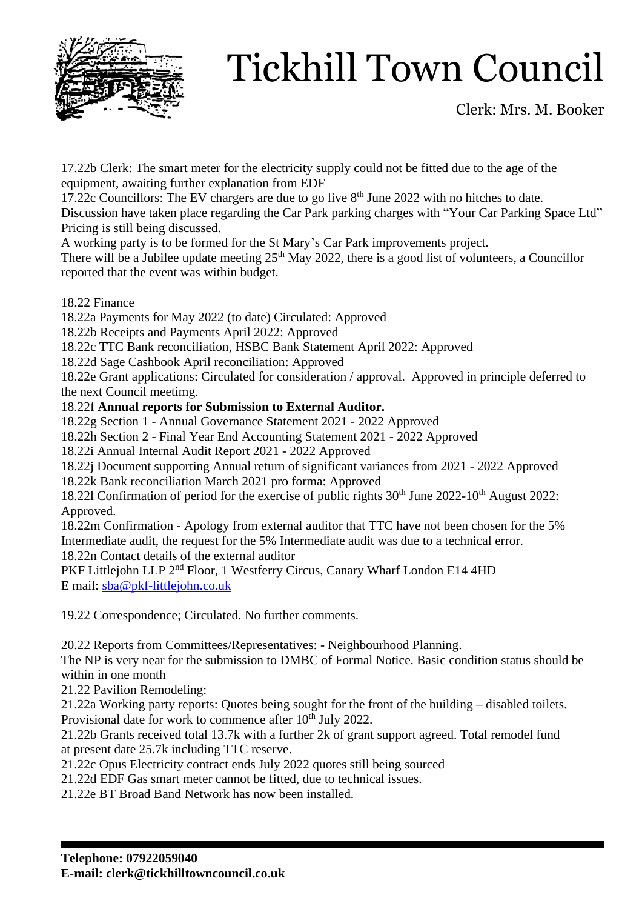

# Tickhill Town Council

Clerk: Mrs. M. Booker

17.22b Clerk: The smart meter for the electricity supply could not be fitted due to the age of the equipment, awaiting further explanation from EDF

17.22c Councillors: The EV chargers are due to go live  $8<sup>th</sup>$  June 2022 with no hitches to date.

Discussion have taken place regarding the Car Park parking charges with "Your Car Parking Space Ltd" Pricing is still being discussed.

A working party is to be formed for the St Mary's Car Park improvements project.

There will be a Jubilee update meeting  $25<sup>th</sup>$  May 2022, there is a good list of volunteers, a Councillor reported that the event was within budget.

18.22 Finance

18.22a Payments for May 2022 (to date) Circulated: Approved

18.22b Receipts and Payments April 2022: Approved

18.22c TTC Bank reconciliation, HSBC Bank Statement April 2022: Approved

18.22d Sage Cashbook April reconciliation: Approved

18.22e Grant applications: Circulated for consideration / approval. Approved in principle deferred to the next Council meetimg.

### 18.22f **Annual reports for Submission to External Auditor.**

18.22g Section 1 - Annual Governance Statement 2021 - 2022 Approved

18.22h Section 2 - Final Year End Accounting Statement 2021 - 2022 Approved

18.22i Annual Internal Audit Report 2021 - 2022 Approved

18.22j Document supporting Annual return of significant variances from 2021 - 2022 Approved

18.22k Bank reconciliation March 2021 pro forma: Approved

18.221 Confirmation of period for the exercise of public rights  $30<sup>th</sup>$  June 2022-10<sup>th</sup> August 2022: Approved.

18.22m Confirmation - Apology from external auditor that TTC have not been chosen for the 5% Intermediate audit, the request for the 5% Intermediate audit was due to a technical error.

18.22n Contact details of the external auditor

PKF Littlejohn LLP 2<sup>nd</sup> Floor, 1 Westferry Circus, Canary Wharf London E14 4HD E mail: [sba@pkf-littlejohn.co.uk](mailto:sba@pkf-littlejohn.co.uk)

19.22 Correspondence; Circulated. No further comments.

20.22 Reports from Committees/Representatives: - Neighbourhood Planning.

The NP is very near for the submission to DMBC of Formal Notice. Basic condition status should be within in one month

21.22 Pavilion Remodeling:

21.22a Working party reports: Quotes being sought for the front of the building – disabled toilets. Provisional date for work to commence after 10<sup>th</sup> July 2022.

21.22b Grants received total 13.7k with a further 2k of grant support agreed. Total remodel fund at present date 25.7k including TTC reserve.

21.22c Opus Electricity contract ends July 2022 quotes still being sourced

21.22d EDF Gas smart meter cannot be fitted, due to technical issues.

21.22e BT Broad Band Network has now been installed.